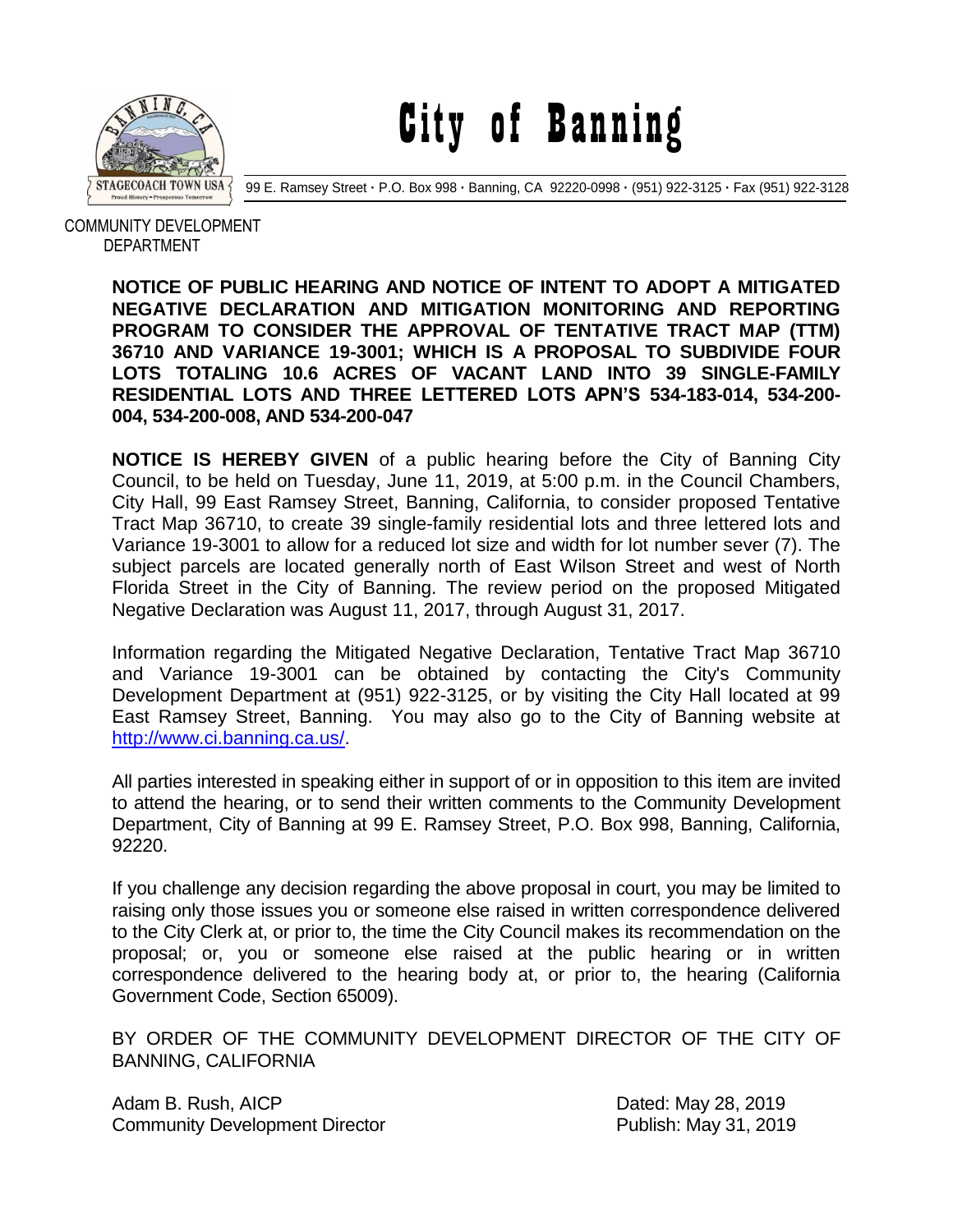

City of Banning

99 E. Ramsey Street **·** P.O. Box 998 **·** Banning, CA 92220-0998 **·** (951) 922-3125 **·** Fax (951) 922-3128

 COMMUNITY DEVELOPMENT DEPARTMENT

> **NOTICE OF PUBLIC HEARING AND NOTICE OF INTENT TO ADOPT A MITIGATED NEGATIVE DECLARATION AND MITIGATION MONITORING AND REPORTING PROGRAM TO CONSIDER THE APPROVAL OF TENTATIVE TRACT MAP (TTM) 36710 AND VARIANCE 19-3001; WHICH IS A PROPOSAL TO SUBDIVIDE FOUR LOTS TOTALING 10.6 ACRES OF VACANT LAND INTO 39 SINGLE-FAMILY RESIDENTIAL LOTS AND THREE LETTERED LOTS APN'S 534-183-014, 534-200- 004, 534-200-008, AND 534-200-047**

> **NOTICE IS HEREBY GIVEN** of a public hearing before the City of Banning City Council, to be held on Tuesday, June 11, 2019, at 5:00 p.m. in the Council Chambers, City Hall, 99 East Ramsey Street, Banning, California, to consider proposed Tentative Tract Map 36710, to create 39 single-family residential lots and three lettered lots and Variance 19-3001 to allow for a reduced lot size and width for lot number sever (7). The subject parcels are located generally north of East Wilson Street and west of North Florida Street in the City of Banning. The review period on the proposed Mitigated Negative Declaration was August 11, 2017, through August 31, 2017.

> Information regarding the Mitigated Negative Declaration, Tentative Tract Map 36710 and Variance 19-3001 can be obtained by contacting the City's Community Development Department at (951) 922-3125, or by visiting the City Hall located at 99 East Ramsey Street, Banning. You may also go to the City of Banning website at [http://www.ci.banning.ca.us/.](http://www.ci.banning.ca.us/)

> All parties interested in speaking either in support of or in opposition to this item are invited to attend the hearing, or to send their written comments to the Community Development Department, City of Banning at 99 E. Ramsey Street, P.O. Box 998, Banning, California, 92220.

> If you challenge any decision regarding the above proposal in court, you may be limited to raising only those issues you or someone else raised in written correspondence delivered to the City Clerk at, or prior to, the time the City Council makes its recommendation on the proposal; or, you or someone else raised at the public hearing or in written correspondence delivered to the hearing body at, or prior to, the hearing (California Government Code, Section 65009).

> BY ORDER OF THE COMMUNITY DEVELOPMENT DIRECTOR OF THE CITY OF BANNING, CALIFORNIA

Adam B. Rush, AICP **Dated: May 28, 2019** Community Development Director **Publish: May 31, 2019**